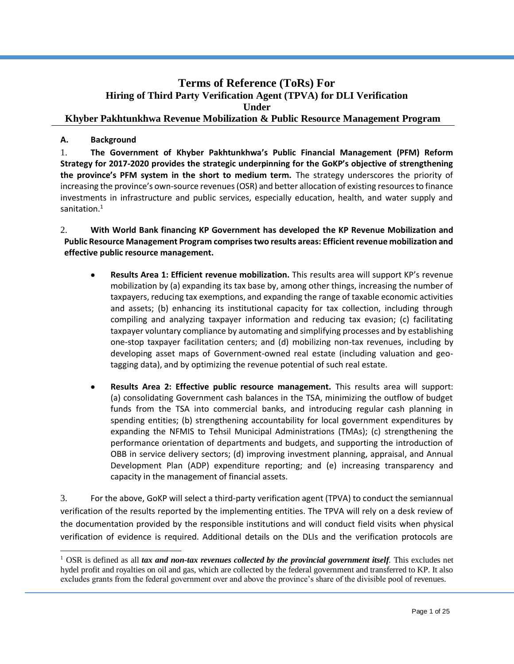# **Terms of Reference (ToRs) For Hiring of Third Party Verification Agent (TPVA) for DLI Verification Under Khyber Pakhtunkhwa Revenue Mobilization & Public Resource Management Program**

# **A. Background**

 $\overline{a}$ 

1. **The Government of Khyber Pakhtunkhwa's Public Financial Management (PFM) Reform Strategy for 2017-2020 provides the strategic underpinning for the GoKP's objective of strengthening the province's PFM system in the short to medium term.** The strategy underscores the priority of increasing the province's own-source revenues (OSR) and better allocation of existing resources to finance investments in infrastructure and public services, especially education, health, and water supply and sanitation.<sup>1</sup>

2. **With World Bank financing KP Government has developed the KP Revenue Mobilization and Public Resource Management Program comprises two results areas: Efficient revenue mobilization and effective public resource management.** 

- **Results Area 1: Efficient revenue mobilization.** This results area will support KP's revenue mobilization by (a) expanding its tax base by, among other things, increasing the number of taxpayers, reducing tax exemptions, and expanding the range of taxable economic activities and assets; (b) enhancing its institutional capacity for tax collection, including through compiling and analyzing taxpayer information and reducing tax evasion; (c) facilitating taxpayer voluntary compliance by automating and simplifying processes and by establishing one-stop taxpayer facilitation centers; and (d) mobilizing non-tax revenues, including by developing asset maps of Government-owned real estate (including valuation and geotagging data), and by optimizing the revenue potential of such real estate.
- **Results Area 2: Effective public resource management.** This results area will support: (a) consolidating Government cash balances in the TSA, minimizing the outflow of budget funds from the TSA into commercial banks, and introducing regular cash planning in spending entities; (b) strengthening accountability for local government expenditures by expanding the NFMIS to Tehsil Municipal Administrations (TMAs); (c) strengthening the performance orientation of departments and budgets, and supporting the introduction of OBB in service delivery sectors; (d) improving investment planning, appraisal, and Annual Development Plan (ADP) expenditure reporting; and (e) increasing transparency and capacity in the management of financial assets.

3. For the above, GoKP will select a third-party verification agent (TPVA) to conduct the semiannual verification of the results reported by the implementing entities. The TPVA will rely on a desk review of the documentation provided by the responsible institutions and will conduct field visits when physical verification of evidence is required. Additional details on the DLIs and the verification protocols are

<sup>&</sup>lt;sup>1</sup> OSR is defined as all *tax and non-tax revenues collected by the provincial government itself.* This excludes net hydel profit and royalties on oil and gas, which are collected by the federal government and transferred to KP. It also excludes grants from the federal government over and above the province's share of the divisible pool of revenues.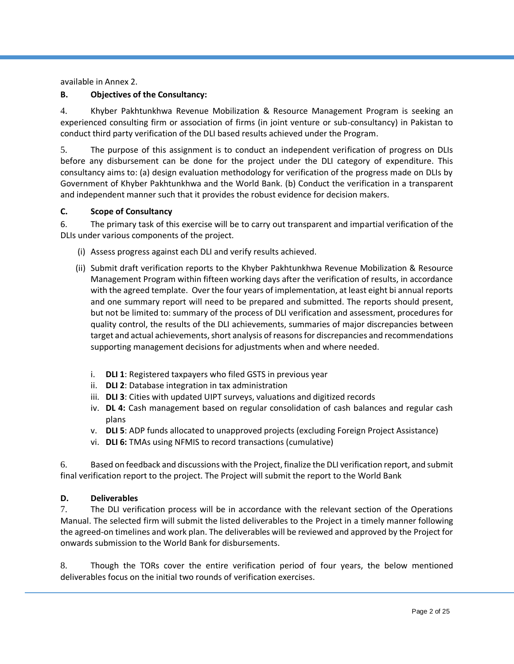available in Annex 2.

### **B. Objectives of the Consultancy:**

4. Khyber Pakhtunkhwa Revenue Mobilization & Resource Management Program is seeking an experienced consulting firm or association of firms (in joint venture or sub-consultancy) in Pakistan to conduct third party verification of the DLI based results achieved under the Program.

5. The purpose of this assignment is to conduct an independent verification of progress on DLIs before any disbursement can be done for the project under the DLI category of expenditure. This consultancy aims to: (a) design evaluation methodology for verification of the progress made on DLIs by Government of Khyber Pakhtunkhwa and the World Bank. (b) Conduct the verification in a transparent and independent manner such that it provides the robust evidence for decision makers.

### **C. Scope of Consultancy**

6. The primary task of this exercise will be to carry out transparent and impartial verification of the DLIs under various components of the project.

- (i) Assess progress against each DLI and verify results achieved.
- (ii) Submit draft verification reports to the Khyber Pakhtunkhwa Revenue Mobilization & Resource Management Program within fifteen working days after the verification of results, in accordance with the agreed template. Over the four years of implementation, at least eight bi annual reports and one summary report will need to be prepared and submitted. The reports should present, but not be limited to: summary of the process of DLI verification and assessment, procedures for quality control, the results of the DLI achievements, summaries of major discrepancies between target and actual achievements, short analysis of reasons for discrepancies and recommendations supporting management decisions for adjustments when and where needed.
	- i. **DLI 1**: Registered taxpayers who filed GSTS in previous year
	- ii. **DLI 2**: Database integration in tax administration
	- iii. **DLI 3**: Cities with updated UIPT surveys, valuations and digitized records
	- iv. **DL 4:** Cash management based on regular consolidation of cash balances and regular cash plans
	- v. **DLI 5**: ADP funds allocated to unapproved projects (excluding Foreign Project Assistance)
	- vi. **DLI 6:** TMAs using NFMIS to record transactions (cumulative)

6. Based on feedback and discussions with the Project, finalize the DLI verification report, and submit final verification report to the project. The Project will submit the report to the World Bank

### **D. Deliverables**

7. The DLI verification process will be in accordance with the relevant section of the Operations Manual. The selected firm will submit the listed deliverables to the Project in a timely manner following the agreed-on timelines and work plan. The deliverables will be reviewed and approved by the Project for onwards submission to the World Bank for disbursements.

8. Though the TORs cover the entire verification period of four years, the below mentioned deliverables focus on the initial two rounds of verification exercises.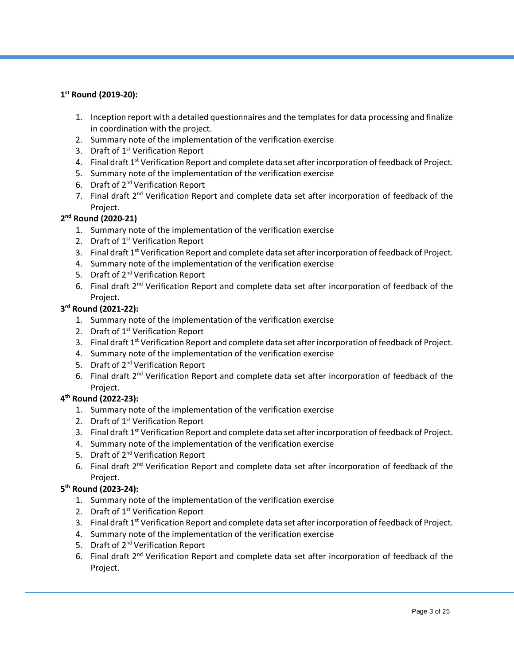# **1 st Round (2019-20):**

- 1. Inception report with a detailed questionnaires and the templates for data processing and finalize in coordination with the project.
- 2. Summary note of the implementation of the verification exercise
- 3. Draft of 1<sup>st</sup> Verification Report
- 4. Final draft 1<sup>st</sup> Verification Report and complete data set after incorporation of feedback of Project.
- 5. Summary note of the implementation of the verification exercise
- 6. Draft of 2nd Verification Report
- 7. Final draft 2<sup>nd</sup> Verification Report and complete data set after incorporation of feedback of the Project.

# **2 nd Round (2020-21)**

- 1. Summary note of the implementation of the verification exercise
- 2. Draft of 1<sup>st</sup> Verification Report
- 3. Final draft 1<sup>st</sup> Verification Report and complete data set after incorporation of feedback of Project.
- 4. Summary note of the implementation of the verification exercise
- 5. Draft of 2<sup>nd</sup> Verification Report
- 6. Final draft 2<sup>nd</sup> Verification Report and complete data set after incorporation of feedback of the Project.

## **3 rd Round (2021-22):**

- 1. Summary note of the implementation of the verification exercise
- 2. Draft of  $1<sup>st</sup>$  Verification Report
- 3. Final draft 1<sup>st</sup> Verification Report and complete data set after incorporation of feedback of Project.
- 4. Summary note of the implementation of the verification exercise
- 5. Draft of 2<sup>nd</sup> Verification Report
- 6. Final draft 2<sup>nd</sup> Verification Report and complete data set after incorporation of feedback of the Project.

# **4 th Round (2022-23):**

- 1. Summary note of the implementation of the verification exercise
- 2. Draft of 1<sup>st</sup> Verification Report
- 3. Final draft  $1^{st}$  Verification Report and complete data set after incorporation of feedback of Project.
- 4. Summary note of the implementation of the verification exercise
- 5. Draft of 2<sup>nd</sup> Verification Report
- 6. Final draft 2<sup>nd</sup> Verification Report and complete data set after incorporation of feedback of the Project.

# **5 th Round (2023-24):**

- 1. Summary note of the implementation of the verification exercise
- 2. Draft of  $1<sup>st</sup>$  Verification Report
- 3. Final draft 1<sup>st</sup> Verification Report and complete data set after incorporation of feedback of Project.
- 4. Summary note of the implementation of the verification exercise
- 5. Draft of 2<sup>nd</sup> Verification Report
- 6. Final draft 2<sup>nd</sup> Verification Report and complete data set after incorporation of feedback of the Project.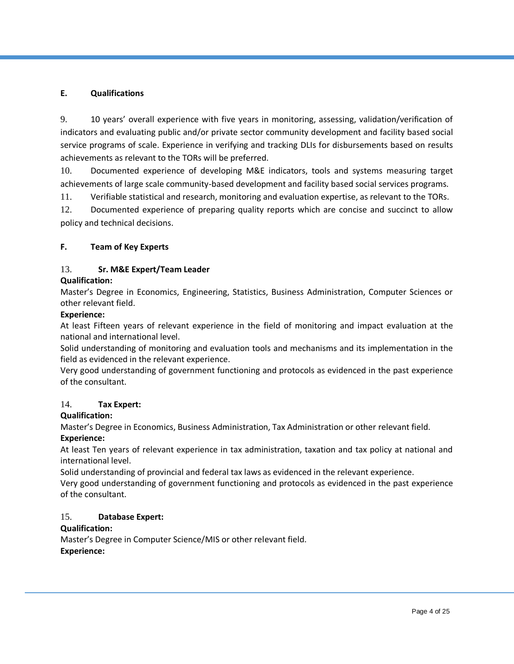### **E. Qualifications**

9. 10 years' overall experience with five years in monitoring, assessing, validation/verification of indicators and evaluating public and/or private sector community development and facility based social service programs of scale. Experience in verifying and tracking DLIs for disbursements based on results achievements as relevant to the TORs will be preferred.

10. Documented experience of developing M&E indicators, tools and systems measuring target achievements of large scale community-based development and facility based social services programs.

11. Verifiable statistical and research, monitoring and evaluation expertise, as relevant to the TORs.

12. Documented experience of preparing quality reports which are concise and succinct to allow policy and technical decisions.

# **F. Team of Key Experts**

# 13. **Sr. M&E Expert/Team Leader**

### **Qualification:**

Master's Degree in Economics, Engineering, Statistics, Business Administration, Computer Sciences or other relevant field.

### **Experience:**

At least Fifteen years of relevant experience in the field of monitoring and impact evaluation at the national and international level.

Solid understanding of monitoring and evaluation tools and mechanisms and its implementation in the field as evidenced in the relevant experience.

Very good understanding of government functioning and protocols as evidenced in the past experience of the consultant.

### 14. **Tax Expert:**

### **Qualification:**

Master's Degree in Economics, Business Administration, Tax Administration or other relevant field. **Experience:**

At least Ten years of relevant experience in tax administration, taxation and tax policy at national and international level.

Solid understanding of provincial and federal tax laws as evidenced in the relevant experience.

Very good understanding of government functioning and protocols as evidenced in the past experience of the consultant.

### 15. **Database Expert:**

### **Qualification:**

Master's Degree in Computer Science/MIS or other relevant field. **Experience:**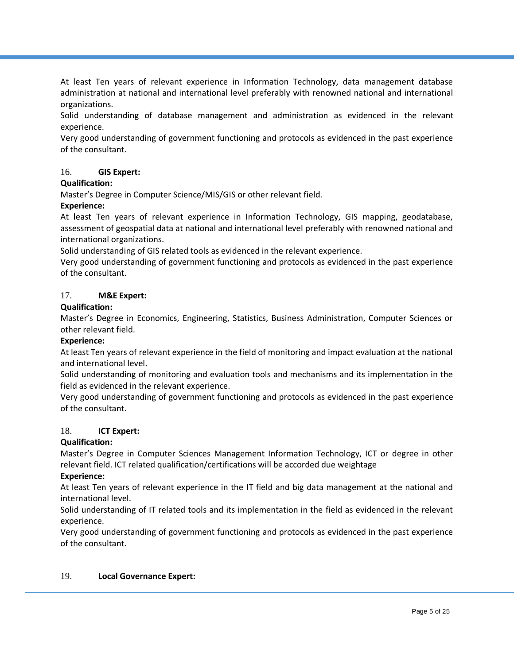At least Ten years of relevant experience in Information Technology, data management database administration at national and international level preferably with renowned national and international organizations.

Solid understanding of database management and administration as evidenced in the relevant experience.

Very good understanding of government functioning and protocols as evidenced in the past experience of the consultant.

### 16. **GIS Expert:**

#### **Qualification:**

Master's Degree in Computer Science/MIS/GIS or other relevant field.

#### **Experience:**

At least Ten years of relevant experience in Information Technology, GIS mapping, geodatabase, assessment of geospatial data at national and international level preferably with renowned national and international organizations.

Solid understanding of GIS related tools as evidenced in the relevant experience.

Very good understanding of government functioning and protocols as evidenced in the past experience of the consultant.

### 17. **M&E Expert:**

#### **Qualification:**

Master's Degree in Economics, Engineering, Statistics, Business Administration, Computer Sciences or other relevant field.

#### **Experience:**

At least Ten years of relevant experience in the field of monitoring and impact evaluation at the national and international level.

Solid understanding of monitoring and evaluation tools and mechanisms and its implementation in the field as evidenced in the relevant experience.

Very good understanding of government functioning and protocols as evidenced in the past experience of the consultant.

#### 18. **ICT Expert:**

#### **Qualification:**

Master's Degree in Computer Sciences Management Information Technology, ICT or degree in other relevant field. ICT related qualification/certifications will be accorded due weightage

#### **Experience:**

At least Ten years of relevant experience in the IT field and big data management at the national and international level.

Solid understanding of IT related tools and its implementation in the field as evidenced in the relevant experience.

Very good understanding of government functioning and protocols as evidenced in the past experience of the consultant.

#### 19. **Local Governance Expert:**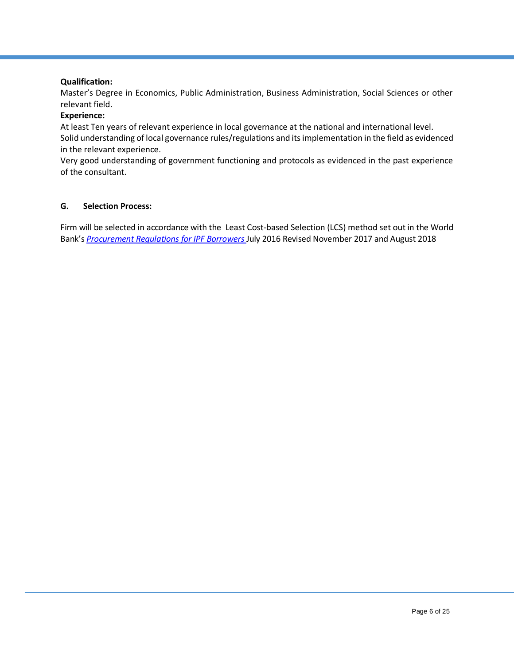### **Qualification:**

Master's Degree in Economics, Public Administration, Business Administration, Social Sciences or other relevant field.

#### **Experience:**

At least Ten years of relevant experience in local governance at the national and international level. Solid understanding of local governance rules/regulations and itsimplementation in the field as evidenced in the relevant experience.

Very good understanding of government functioning and protocols as evidenced in the past experience of the consultant.

#### **G. Selection Process:**

Firm will be selected in accordance with the Least Cost-based Selection (LCS) method set out in the World Bank's *[Procurement Regulations f](http://www.worldbank.org/html/opr/consult/contents.html)or IPF Borrowers* July 2016 Revised November 2017 and August 2018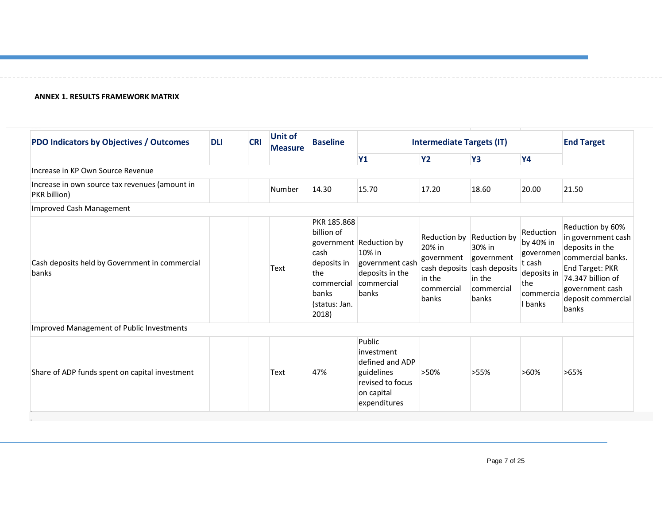#### **ANNEX 1. RESULTS FRAMEWORK MATRIX**

| <b>PDO Indicators by Objectives / Outcomes</b>                        | <b>DLI</b> | <b>CRI</b> | <b>Unit of</b><br><b>Measure</b> | <b>Baseline</b>                                                                                          | <b>Intermediate Targets (IT)</b>                                                                        |                                                                       |                                                                                                      |                                                                                             | <b>End Target</b>                                                                                                                                                        |
|-----------------------------------------------------------------------|------------|------------|----------------------------------|----------------------------------------------------------------------------------------------------------|---------------------------------------------------------------------------------------------------------|-----------------------------------------------------------------------|------------------------------------------------------------------------------------------------------|---------------------------------------------------------------------------------------------|--------------------------------------------------------------------------------------------------------------------------------------------------------------------------|
|                                                                       |            |            |                                  |                                                                                                          | <b>Y1</b>                                                                                               | <b>Y2</b>                                                             | <b>Y3</b>                                                                                            | <b>Y4</b>                                                                                   |                                                                                                                                                                          |
| Increase in KP Own Source Revenue                                     |            |            |                                  |                                                                                                          |                                                                                                         |                                                                       |                                                                                                      |                                                                                             |                                                                                                                                                                          |
| Increase in own source tax revenues (amount in<br><b>PKR</b> billion) |            |            | Number                           | 14.30                                                                                                    | 15.70                                                                                                   | 17.20                                                                 | 18.60                                                                                                | 20.00                                                                                       | 21.50                                                                                                                                                                    |
| Improved Cash Management                                              |            |            |                                  |                                                                                                          |                                                                                                         |                                                                       |                                                                                                      |                                                                                             |                                                                                                                                                                          |
| Cash deposits held by Government in commercial<br>banks               |            |            | Text                             | PKR 185.868<br>billion of<br>cash<br>deposits in<br>the<br>commercial<br>banks<br>(status: Jan.<br>2018) | government Reduction by<br>10% in<br>government cash<br>deposits in the<br>commercial<br>banks          | Reduction by<br>20% in<br>government<br>in the<br>commercial<br>banks | Reduction by<br>30% in<br>government<br>cash deposits cash deposits<br>in the<br>commercial<br>banks | Reduction<br>by 40% in<br>governmen<br>t cash<br>deposits in<br>the<br>commercia<br>I banks | Reduction by 60%<br>in government cash<br>deposits in the<br>commercial banks.<br>End Target: PKR<br>74.347 billion of<br>government cash<br>deposit commercial<br>banks |
| Improved Management of Public Investments                             |            |            |                                  |                                                                                                          |                                                                                                         |                                                                       |                                                                                                      |                                                                                             |                                                                                                                                                                          |
| Share of ADP funds spent on capital investment                        |            |            | Text                             | 47%                                                                                                      | Public<br>investment<br>defined and ADP<br>guidelines<br>revised to focus<br>on capital<br>expenditures | >50%                                                                  | >55%                                                                                                 | >60%                                                                                        | $>65\%$                                                                                                                                                                  |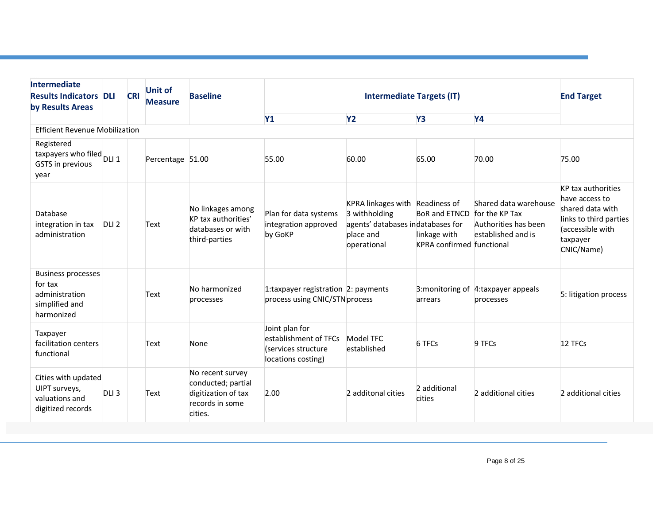| <b>Intermediate</b><br><b>Results Indicators DLI</b><br>by Results Areas               |                  | <b>CRI</b> | Unit of<br><b>Measure</b> | <b>Baseline</b>                                                                             | <b>Intermediate Targets (IT)</b>                                                     |                                                                                                                   |                                                                          | <b>End Target</b>                                                                     |                                                                                                                                  |
|----------------------------------------------------------------------------------------|------------------|------------|---------------------------|---------------------------------------------------------------------------------------------|--------------------------------------------------------------------------------------|-------------------------------------------------------------------------------------------------------------------|--------------------------------------------------------------------------|---------------------------------------------------------------------------------------|----------------------------------------------------------------------------------------------------------------------------------|
|                                                                                        |                  |            |                           |                                                                                             | <b>Y1</b>                                                                            | <b>Y2</b>                                                                                                         | Y3                                                                       | <b>Y4</b>                                                                             |                                                                                                                                  |
| <b>Efficient Revenue Mobilization</b>                                                  |                  |            |                           |                                                                                             |                                                                                      |                                                                                                                   |                                                                          |                                                                                       |                                                                                                                                  |
| Registered<br>taxpayers who filed<br>DLI 1<br>GSTS in previous<br>year                 |                  |            | Percentage 51.00          |                                                                                             | 55.00                                                                                | 60.00                                                                                                             | 65.00                                                                    | 70.00                                                                                 | 75.00                                                                                                                            |
| Database<br>integration in tax<br>administration                                       | DLI <sub>2</sub> |            | Text                      | No linkages among<br>KP tax authorities'<br>databases or with<br>third-parties              | Plan for data systems<br>integration approved<br>by GoKP                             | KPRA linkages with Readiness of<br>3 withholding<br>agents' databases indatabases for<br>place and<br>operational | <b>BoR and ETNCD</b><br>linkage with<br><b>KPRA</b> confirmed functional | Shared data warehouse<br>for the KP Tax<br>Authorities has been<br>established and is | KP tax authorities<br>have access to<br>shared data with<br>links to third parties<br>(accessible with<br>taxpayer<br>CNIC/Name) |
| <b>Business processes</b><br>for tax<br>administration<br>simplified and<br>harmonized |                  |            | Text                      | No harmonized<br>processes                                                                  | 1:taxpayer registration 2: payments<br>process using CNIC/STN process                |                                                                                                                   | arrears                                                                  | 3: monitoring of 4: taxpayer appeals<br>processes                                     | 5: litigation process                                                                                                            |
| Taxpayer<br>facilitation centers<br>functional                                         |                  |            | Text                      | None                                                                                        | Joint plan for<br>establishment of TFCs<br>(services structure<br>locations costing) | Model TFC<br>established                                                                                          | 6 TFCs                                                                   | 9 TFCs                                                                                | 12 TFCs                                                                                                                          |
| Cities with updated<br>UIPT surveys,<br>valuations and<br>digitized records            | DLI <sub>3</sub> |            | Text                      | No recent survey<br>conducted; partial<br>digitization of tax<br>records in some<br>cities. | 2.00                                                                                 | 2 additonal cities                                                                                                | 2 additional<br>cities                                                   | 2 additional cities                                                                   | 2 additional cities                                                                                                              |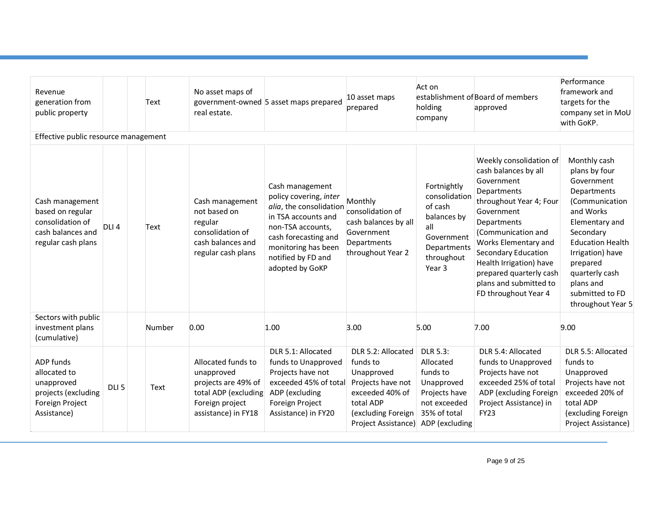| Revenue<br>generation from<br>public property                                                           |                  | Text   | No asset maps of<br>real estate.                                                                                          | government-owned 5 asset maps prepared                                                                                                                                                                   | 10 asset maps<br>prepared                                                                                                                      | Act on<br>holding<br>company                                                                                              | establishment of Board of members<br>approved                                                                                                                                                                                                                                                                            | Performance<br>framework and<br>targets for the<br>company set in MoU<br>with GoKP.                                                                                                                                                                        |
|---------------------------------------------------------------------------------------------------------|------------------|--------|---------------------------------------------------------------------------------------------------------------------------|----------------------------------------------------------------------------------------------------------------------------------------------------------------------------------------------------------|------------------------------------------------------------------------------------------------------------------------------------------------|---------------------------------------------------------------------------------------------------------------------------|--------------------------------------------------------------------------------------------------------------------------------------------------------------------------------------------------------------------------------------------------------------------------------------------------------------------------|------------------------------------------------------------------------------------------------------------------------------------------------------------------------------------------------------------------------------------------------------------|
| Effective public resource management                                                                    |                  |        |                                                                                                                           |                                                                                                                                                                                                          |                                                                                                                                                |                                                                                                                           |                                                                                                                                                                                                                                                                                                                          |                                                                                                                                                                                                                                                            |
| Cash management<br>based on regular<br>consolidation of<br>cash balances and<br>regular cash plans      | DLI <sub>4</sub> | Text   | Cash management<br>not based on<br>regular<br>consolidation of<br>cash balances and<br>regular cash plans                 | Cash management<br>policy covering, inter<br>alia, the consolidation<br>in TSA accounts and<br>non-TSA accounts,<br>cash forecasting and<br>monitoring has been<br>notified by FD and<br>adopted by GoKP | Monthly<br>consolidation of<br>cash balances by all<br>Government<br>Departments<br>throughout Year 2                                          | Fortnightly<br>consolidation<br>of cash<br>balances by<br>all<br>Government<br>Departments<br>throughout<br>Year 3        | Weekly consolidation of<br>cash balances by all<br>Government<br>Departments<br>throughout Year 4; Four<br>Government<br>Departments<br>(Communication and<br>Works Elementary and<br><b>Secondary Education</b><br>Health Irrigation) have<br>prepared quarterly cash<br>plans and submitted to<br>FD throughout Year 4 | Monthly cash<br>plans by four<br>Government<br>Departments<br>(Communication<br>and Works<br>Elementary and<br>Secondary<br><b>Education Health</b><br>Irrigation) have<br>prepared<br>quarterly cash<br>plans and<br>submitted to FD<br>throughout Year 5 |
| Sectors with public<br>investment plans<br>(cumulative)                                                 |                  | Number | 0.00                                                                                                                      | 1.00                                                                                                                                                                                                     | 3.00                                                                                                                                           | 5.00                                                                                                                      | 7.00                                                                                                                                                                                                                                                                                                                     | 9.00                                                                                                                                                                                                                                                       |
| <b>ADP</b> funds<br>allocated to<br>unapproved<br>projects (excluding<br>Foreign Project<br>Assistance) | DLI <sub>5</sub> | Text   | Allocated funds to<br>unapproved<br>projects are 49% of<br>total ADP (excluding<br>Foreign project<br>assistance) in FY18 | DLR 5.1: Allocated<br>funds to Unapproved<br>Projects have not<br>exceeded 45% of total<br>ADP (excluding<br>Foreign Project<br>Assistance) in FY20                                                      | DLR 5.2: Allocated<br>funds to<br>Unapproved<br>Projects have not<br>exceeded 40% of<br>total ADP<br>(excluding Foreign<br>Project Assistance) | <b>DLR 5.3:</b><br>Allocated<br>funds to<br>Unapproved<br>Projects have<br>not exceeded<br>35% of total<br>ADP (excluding | DLR 5.4: Allocated<br>funds to Unapproved<br>Projects have not<br>exceeded 25% of total<br>ADP (excluding Foreign<br>Project Assistance) in<br><b>FY23</b>                                                                                                                                                               | DLR 5.5: Allocated<br>funds to<br>Unapproved<br>Projects have not<br>exceeded 20% of<br>total ADP<br>(excluding Foreign<br>Project Assistance)                                                                                                             |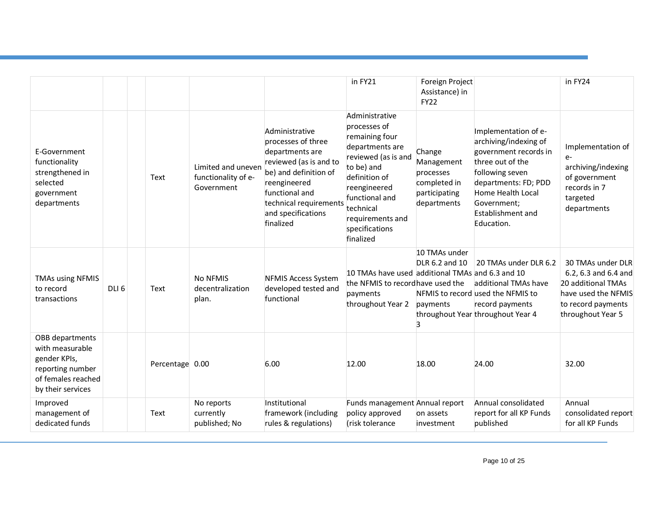|                                                                                                                   |                  |                 |                                                         |                                                                                                                                                                                                           | in FY21                                                                                                                                                                                                                     | Foreign Project<br>Assistance) in<br><b>FY22</b>                                  |                                                                                                                                                                                                                     | in FY24                                                                                                                           |
|-------------------------------------------------------------------------------------------------------------------|------------------|-----------------|---------------------------------------------------------|-----------------------------------------------------------------------------------------------------------------------------------------------------------------------------------------------------------|-----------------------------------------------------------------------------------------------------------------------------------------------------------------------------------------------------------------------------|-----------------------------------------------------------------------------------|---------------------------------------------------------------------------------------------------------------------------------------------------------------------------------------------------------------------|-----------------------------------------------------------------------------------------------------------------------------------|
| E-Government<br>functionality<br>strengthened in<br>selected<br>government<br>departments                         |                  | Text            | Limited and uneven<br>functionality of e-<br>Government | Administrative<br>processes of three<br>departments are<br>reviewed (as is and to<br>be) and definition of<br>reengineered<br>functional and<br>technical requirements<br>and specifications<br>finalized | Administrative<br>processes of<br>remaining four<br>departments are<br>reviewed (as is and<br>to be) and<br>definition of<br>reengineered<br>functional and<br>technical<br>requirements and<br>specifications<br>finalized | Change<br>Management<br>processes<br>completed in<br>participating<br>departments | Implementation of e-<br>archiving/indexing of<br>government records in<br>three out of the<br>following seven<br>departments: FD; PDD<br>Home Health Local<br>Government;<br><b>Establishment and</b><br>Education. | Implementation of<br>$e-$<br>archiving/indexing<br>of government<br>records in 7<br>targeted<br>departments                       |
| <b>TMAs using NFMIS</b><br>to record<br>transactions                                                              | DLI <sub>6</sub> | Text            | No NFMIS<br>decentralization<br>plan.                   | <b>NFMIS Access System</b><br>developed tested and<br>functional                                                                                                                                          | 10 TMAs have used additional TMAs and 6.3 and 10<br>the NFMIS to recordhave used the<br>payments<br>throughout Year 2                                                                                                       | 10 TMAs under<br>DLR 6.2 and 10<br>payments<br>3                                  | 20 TMAs under DLR 6.2<br>additional TMAs have<br>NFMIS to record used the NFMIS to<br>record payments<br>throughout Year throughout Year 4                                                                          | 30 TMAs under DLR<br>6.2, 6.3 and 6.4 and<br>20 additional TMAs<br>have used the NFMIS<br>to record payments<br>throughout Year 5 |
| OBB departments<br>with measurable<br>gender KPIs,<br>reporting number<br>of females reached<br>by their services |                  | Percentage 0.00 |                                                         | 6.00                                                                                                                                                                                                      | 12.00                                                                                                                                                                                                                       | 18.00                                                                             | 24.00                                                                                                                                                                                                               | 32.00                                                                                                                             |
| Improved<br>management of<br>dedicated funds                                                                      |                  | Text            | No reports<br>currently<br>published; No                | Institutional<br>framework (including<br>rules & regulations)                                                                                                                                             | Funds management Annual report<br>policy approved<br>(risk tolerance                                                                                                                                                        | on assets<br>investment                                                           | Annual consolidated<br>report for all KP Funds<br>published                                                                                                                                                         | Annual<br>consolidated report<br>for all KP Funds                                                                                 |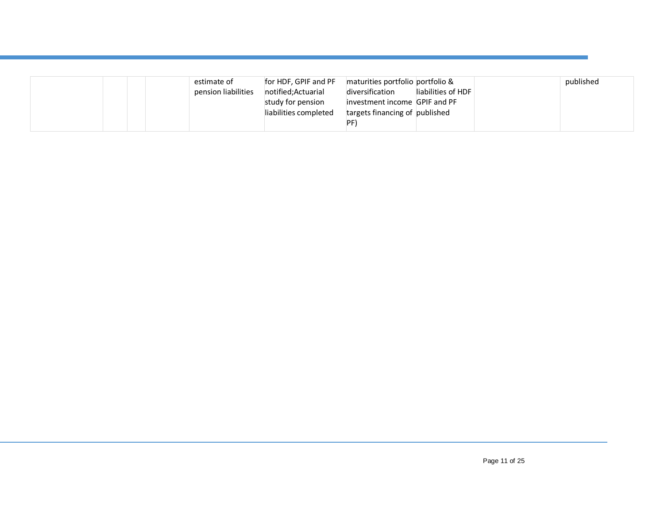| estimate of<br>pension liabilities | for HDF, GPIF and PF<br>notified;Actuarial<br>study for pension<br>liabilities completed | maturities portfolio portfolio &<br>diversification<br>investment income GPIF and PF<br>targets financing of published | liabilities of HDF | published |
|------------------------------------|------------------------------------------------------------------------------------------|------------------------------------------------------------------------------------------------------------------------|--------------------|-----------|
|                                    |                                                                                          | PF)                                                                                                                    |                    |           |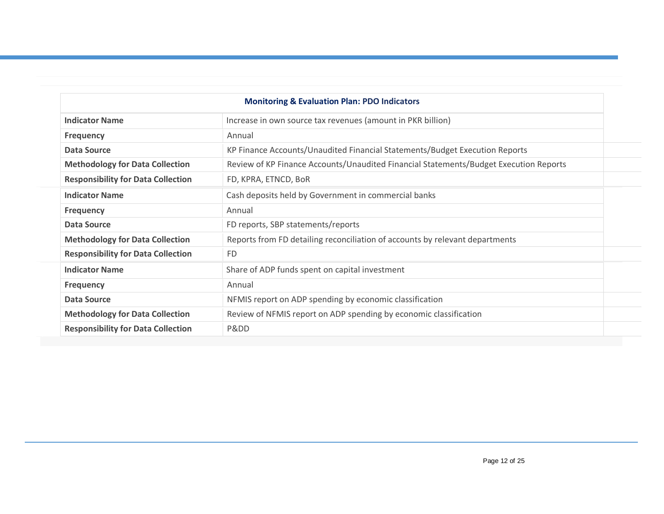| <b>Monitoring &amp; Evaluation Plan: PDO Indicators</b> |                                                                                       |  |  |  |  |  |
|---------------------------------------------------------|---------------------------------------------------------------------------------------|--|--|--|--|--|
| <b>Indicator Name</b>                                   | Increase in own source tax revenues (amount in PKR billion)                           |  |  |  |  |  |
| <b>Frequency</b>                                        | Annual                                                                                |  |  |  |  |  |
| Data Source                                             | KP Finance Accounts/Unaudited Financial Statements/Budget Execution Reports           |  |  |  |  |  |
| <b>Methodology for Data Collection</b>                  | Review of KP Finance Accounts/Unaudited Financial Statements/Budget Execution Reports |  |  |  |  |  |
| <b>Responsibility for Data Collection</b>               | FD, KPRA, ETNCD, BoR                                                                  |  |  |  |  |  |
| <b>Indicator Name</b>                                   | Cash deposits held by Government in commercial banks                                  |  |  |  |  |  |
| <b>Frequency</b>                                        | Annual                                                                                |  |  |  |  |  |
| Data Source                                             | FD reports, SBP statements/reports                                                    |  |  |  |  |  |
| <b>Methodology for Data Collection</b>                  | Reports from FD detailing reconciliation of accounts by relevant departments          |  |  |  |  |  |
| <b>Responsibility for Data Collection</b>               | <b>FD</b>                                                                             |  |  |  |  |  |
| <b>Indicator Name</b>                                   | Share of ADP funds spent on capital investment                                        |  |  |  |  |  |
| <b>Frequency</b>                                        | Annual                                                                                |  |  |  |  |  |
| Data Source                                             | NFMIS report on ADP spending by economic classification                               |  |  |  |  |  |
| <b>Methodology for Data Collection</b>                  | Review of NFMIS report on ADP spending by economic classification                     |  |  |  |  |  |
| <b>Responsibility for Data Collection</b>               | Pⅅ                                                                                    |  |  |  |  |  |
|                                                         |                                                                                       |  |  |  |  |  |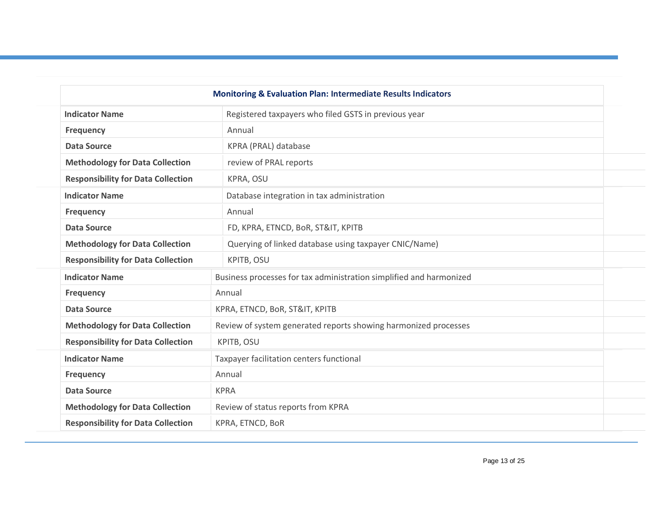|                                           | <b>Monitoring &amp; Evaluation Plan: Intermediate Results Indicators</b> |  |  |  |
|-------------------------------------------|--------------------------------------------------------------------------|--|--|--|
| <b>Indicator Name</b>                     | Registered taxpayers who filed GSTS in previous year                     |  |  |  |
| <b>Frequency</b>                          | Annual                                                                   |  |  |  |
| <b>Data Source</b>                        | KPRA (PRAL) database                                                     |  |  |  |
| <b>Methodology for Data Collection</b>    | review of PRAL reports                                                   |  |  |  |
| <b>Responsibility for Data Collection</b> | KPRA, OSU                                                                |  |  |  |
| <b>Indicator Name</b>                     | Database integration in tax administration                               |  |  |  |
| <b>Frequency</b>                          | Annual                                                                   |  |  |  |
| <b>Data Source</b>                        | FD, KPRA, ETNCD, BoR, ST&IT, KPITB                                       |  |  |  |
| <b>Methodology for Data Collection</b>    | Querying of linked database using taxpayer CNIC/Name)                    |  |  |  |
| <b>Responsibility for Data Collection</b> | KPITB, OSU                                                               |  |  |  |
| <b>Indicator Name</b>                     | Business processes for tax administration simplified and harmonized      |  |  |  |
| <b>Frequency</b>                          | Annual                                                                   |  |  |  |
| <b>Data Source</b>                        | KPRA, ETNCD, BoR, ST&IT, KPITB                                           |  |  |  |
| <b>Methodology for Data Collection</b>    | Review of system generated reports showing harmonized processes          |  |  |  |
| <b>Responsibility for Data Collection</b> | KPITB, OSU                                                               |  |  |  |
| <b>Indicator Name</b>                     | Taxpayer facilitation centers functional                                 |  |  |  |
| <b>Frequency</b>                          | Annual                                                                   |  |  |  |
| <b>Data Source</b>                        | <b>KPRA</b>                                                              |  |  |  |
| <b>Methodology for Data Collection</b>    | Review of status reports from KPRA                                       |  |  |  |
| <b>Responsibility for Data Collection</b> | KPRA, ETNCD, BoR                                                         |  |  |  |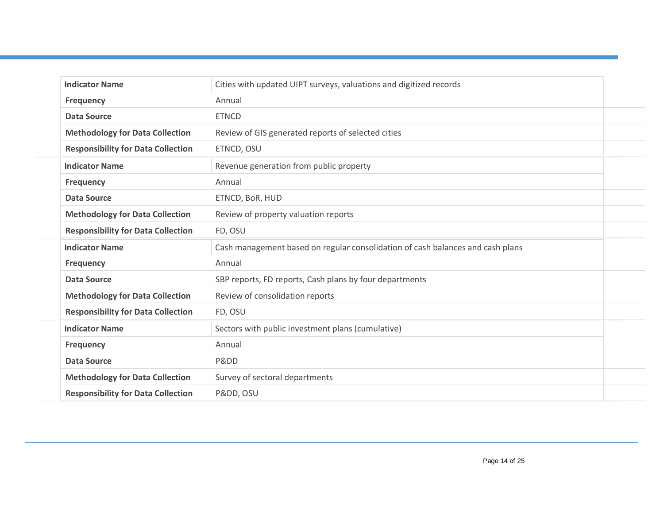| <b>Indicator Name</b>                     | Cities with updated UIPT surveys, valuations and digitized records             |  |  |  |  |  |
|-------------------------------------------|--------------------------------------------------------------------------------|--|--|--|--|--|
| <b>Frequency</b>                          | Annual                                                                         |  |  |  |  |  |
| <b>Data Source</b>                        | <b>ETNCD</b>                                                                   |  |  |  |  |  |
| <b>Methodology for Data Collection</b>    | Review of GIS generated reports of selected cities                             |  |  |  |  |  |
| <b>Responsibility for Data Collection</b> | ETNCD, OSU                                                                     |  |  |  |  |  |
| <b>Indicator Name</b>                     | Revenue generation from public property                                        |  |  |  |  |  |
| <b>Frequency</b>                          | Annual                                                                         |  |  |  |  |  |
| <b>Data Source</b>                        | ETNCD, BoR, HUD                                                                |  |  |  |  |  |
| <b>Methodology for Data Collection</b>    | Review of property valuation reports                                           |  |  |  |  |  |
| <b>Responsibility for Data Collection</b> | FD, OSU                                                                        |  |  |  |  |  |
| <b>Indicator Name</b>                     | Cash management based on regular consolidation of cash balances and cash plans |  |  |  |  |  |
| <b>Frequency</b>                          | Annual                                                                         |  |  |  |  |  |
| <b>Data Source</b>                        | SBP reports, FD reports, Cash plans by four departments                        |  |  |  |  |  |
| <b>Methodology for Data Collection</b>    | Review of consolidation reports                                                |  |  |  |  |  |
| <b>Responsibility for Data Collection</b> | FD, OSU                                                                        |  |  |  |  |  |
| <b>Indicator Name</b>                     | Sectors with public investment plans (cumulative)                              |  |  |  |  |  |
| <b>Frequency</b>                          | Annual                                                                         |  |  |  |  |  |
| <b>Data Source</b>                        | Pⅅ                                                                             |  |  |  |  |  |
| <b>Methodology for Data Collection</b>    | Survey of sectoral departments                                                 |  |  |  |  |  |
| <b>Responsibility for Data Collection</b> | Pⅅ, OSU                                                                        |  |  |  |  |  |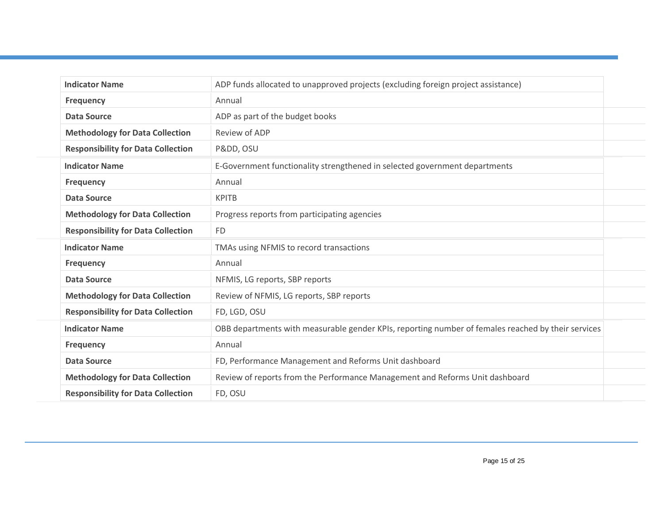| ADP funds allocated to unapproved projects (excluding foreign project assistance)                                                                                                                                                                                                                                                                        |  |
|----------------------------------------------------------------------------------------------------------------------------------------------------------------------------------------------------------------------------------------------------------------------------------------------------------------------------------------------------------|--|
| Annual                                                                                                                                                                                                                                                                                                                                                   |  |
| ADP as part of the budget books                                                                                                                                                                                                                                                                                                                          |  |
| Review of ADP                                                                                                                                                                                                                                                                                                                                            |  |
| Pⅅ, OSU                                                                                                                                                                                                                                                                                                                                                  |  |
| E-Government functionality strengthened in selected government departments                                                                                                                                                                                                                                                                               |  |
| Annual                                                                                                                                                                                                                                                                                                                                                   |  |
| <b>KPITB</b>                                                                                                                                                                                                                                                                                                                                             |  |
| Progress reports from participating agencies                                                                                                                                                                                                                                                                                                             |  |
| <b>FD</b>                                                                                                                                                                                                                                                                                                                                                |  |
| TMAs using NFMIS to record transactions                                                                                                                                                                                                                                                                                                                  |  |
| Annual                                                                                                                                                                                                                                                                                                                                                   |  |
| NFMIS, LG reports, SBP reports                                                                                                                                                                                                                                                                                                                           |  |
| Review of NFMIS, LG reports, SBP reports                                                                                                                                                                                                                                                                                                                 |  |
| FD, LGD, OSU                                                                                                                                                                                                                                                                                                                                             |  |
| OBB departments with measurable gender KPIs, reporting number of females reached by their services                                                                                                                                                                                                                                                       |  |
| Annual                                                                                                                                                                                                                                                                                                                                                   |  |
| FD, Performance Management and Reforms Unit dashboard                                                                                                                                                                                                                                                                                                    |  |
| Review of reports from the Performance Management and Reforms Unit dashboard                                                                                                                                                                                                                                                                             |  |
| FD, OSU                                                                                                                                                                                                                                                                                                                                                  |  |
| <b>Methodology for Data Collection</b><br><b>Responsibility for Data Collection</b><br><b>Methodology for Data Collection</b><br><b>Responsibility for Data Collection</b><br><b>Methodology for Data Collection</b><br><b>Responsibility for Data Collection</b><br><b>Methodology for Data Collection</b><br><b>Responsibility for Data Collection</b> |  |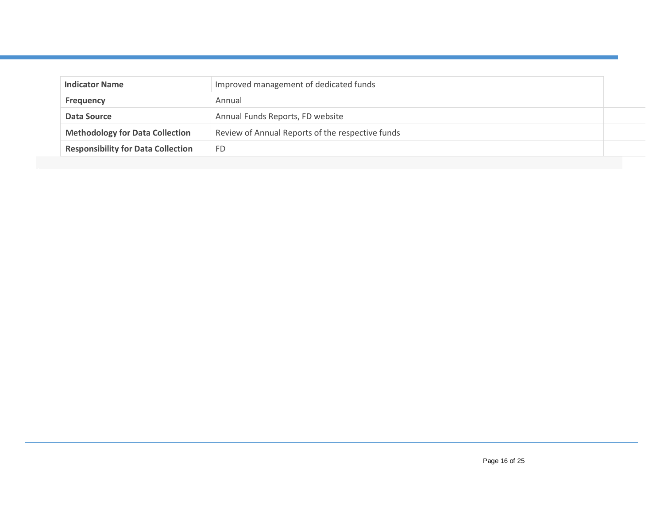| <b>Indicator Name</b>                                                                      | Improved management of dedicated funds |  |  |  |
|--------------------------------------------------------------------------------------------|----------------------------------------|--|--|--|
| <b>Frequency</b>                                                                           | Annual                                 |  |  |  |
| Data Source                                                                                | Annual Funds Reports, FD website       |  |  |  |
| <b>Methodology for Data Collection</b><br>Review of Annual Reports of the respective funds |                                        |  |  |  |
| <b>Responsibility for Data Collection</b>                                                  | FD                                     |  |  |  |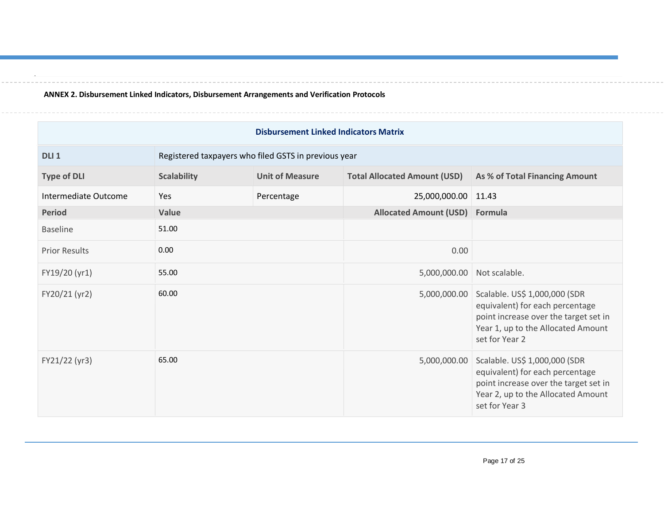**ANNEX 2. Disbursement Linked Indicators, Disbursement Arrangements and Verification Protocols**

.

| <b>Disbursement Linked Indicators Matrix</b> |                    |                                                      |                                     |                                                                                                                                                                   |  |  |  |  |
|----------------------------------------------|--------------------|------------------------------------------------------|-------------------------------------|-------------------------------------------------------------------------------------------------------------------------------------------------------------------|--|--|--|--|
| DLI <sub>1</sub>                             |                    | Registered taxpayers who filed GSTS in previous year |                                     |                                                                                                                                                                   |  |  |  |  |
| <b>Type of DLI</b>                           | <b>Scalability</b> | <b>Unit of Measure</b>                               | <b>Total Allocated Amount (USD)</b> | As % of Total Financing Amount                                                                                                                                    |  |  |  |  |
| Intermediate Outcome                         | Yes                | Percentage                                           | 25,000,000.00                       | 11.43                                                                                                                                                             |  |  |  |  |
| <b>Period</b>                                | Value              |                                                      | <b>Allocated Amount (USD)</b>       | Formula                                                                                                                                                           |  |  |  |  |
| <b>Baseline</b>                              | 51.00              |                                                      |                                     |                                                                                                                                                                   |  |  |  |  |
| <b>Prior Results</b>                         | 0.00               |                                                      | 0.00                                |                                                                                                                                                                   |  |  |  |  |
| FY19/20 (yr1)                                | 55.00              |                                                      | 5,000,000.00                        | Not scalable.                                                                                                                                                     |  |  |  |  |
| FY20/21 (yr2)                                | 60.00              |                                                      | 5,000,000.00                        | Scalable. US\$ 1,000,000 (SDR<br>equivalent) for each percentage<br>point increase over the target set in<br>Year 1, up to the Allocated Amount<br>set for Year 2 |  |  |  |  |
| FY21/22 (yr3)                                | 65.00              |                                                      | 5,000,000.00                        | Scalable. US\$ 1,000,000 (SDR<br>equivalent) for each percentage<br>point increase over the target set in<br>Year 2, up to the Allocated Amount<br>set for Year 3 |  |  |  |  |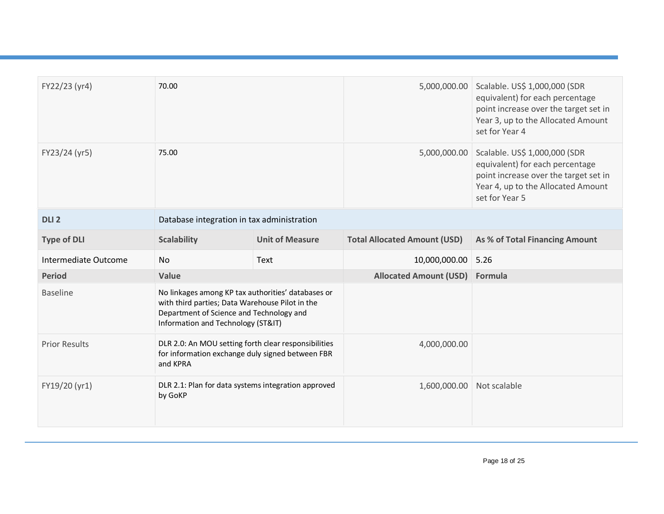| FY22/23 (yr4)        | 70.00                                                                                                                                                                                   |                        | 5,000,000.00                        | Scalable. US\$ 1,000,000 (SDR<br>equivalent) for each percentage<br>point increase over the target set in<br>Year 3, up to the Allocated Amount<br>set for Year 4 |
|----------------------|-----------------------------------------------------------------------------------------------------------------------------------------------------------------------------------------|------------------------|-------------------------------------|-------------------------------------------------------------------------------------------------------------------------------------------------------------------|
| FY23/24 (yr5)        | 75.00                                                                                                                                                                                   |                        | 5,000,000.00                        | Scalable. US\$ 1,000,000 (SDR<br>equivalent) for each percentage<br>point increase over the target set in<br>Year 4, up to the Allocated Amount<br>set for Year 5 |
| DLI <sub>2</sub>     | Database integration in tax administration                                                                                                                                              |                        |                                     |                                                                                                                                                                   |
| <b>Type of DLI</b>   | <b>Scalability</b>                                                                                                                                                                      | <b>Unit of Measure</b> | <b>Total Allocated Amount (USD)</b> | As % of Total Financing Amount                                                                                                                                    |
| Intermediate Outcome | <b>No</b>                                                                                                                                                                               | Text                   | 10,000,000.00                       | 5.26                                                                                                                                                              |
| <b>Period</b>        | Value                                                                                                                                                                                   |                        | <b>Allocated Amount (USD)</b>       | Formula                                                                                                                                                           |
| <b>Baseline</b>      | No linkages among KP tax authorities' databases or<br>with third parties; Data Warehouse Pilot in the<br>Department of Science and Technology and<br>Information and Technology (ST&IT) |                        |                                     |                                                                                                                                                                   |
| <b>Prior Results</b> | DLR 2.0: An MOU setting forth clear responsibilities<br>for information exchange duly signed between FBR<br>and KPRA                                                                    |                        | 4,000,000.00                        |                                                                                                                                                                   |
| FY19/20 (yr1)        | DLR 2.1: Plan for data systems integration approved<br>by GoKP                                                                                                                          |                        | 1,600,000.00                        | Not scalable                                                                                                                                                      |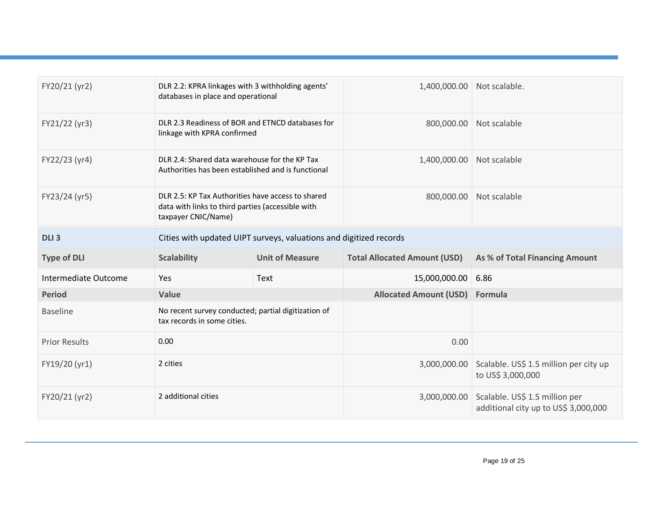| FY20/21 (yr2)        | DLR 2.2: KPRA linkages with 3 withholding agents'<br>databases in place and operational                                       |  | 1,400,000.00                        | Not scalable.                                               |
|----------------------|-------------------------------------------------------------------------------------------------------------------------------|--|-------------------------------------|-------------------------------------------------------------|
| FY21/22 (yr3)        | DLR 2.3 Readiness of BOR and ETNCD databases for<br>linkage with KPRA confirmed                                               |  | 800,000.00                          | Not scalable                                                |
| FY22/23 (yr4)        | DLR 2.4: Shared data warehouse for the KP Tax<br>Authorities has been established and is functional                           |  | 1,400,000.00                        | Not scalable                                                |
| FY23/24 (yr5)        | DLR 2.5: KP Tax Authorities have access to shared<br>data with links to third parties (accessible with<br>taxpayer CNIC/Name) |  | 800,000.00                          | Not scalable                                                |
| DLI <sub>3</sub>     | Cities with updated UIPT surveys, valuations and digitized records                                                            |  |                                     |                                                             |
| <b>Type of DLI</b>   | <b>Scalability</b><br><b>Unit of Measure</b>                                                                                  |  | <b>Total Allocated Amount (USD)</b> | As % of Total Financing Amount                              |
|                      | Yes<br>Text                                                                                                                   |  |                                     |                                                             |
| Intermediate Outcome |                                                                                                                               |  | 15,000,000.00                       | 6.86                                                        |
| <b>Period</b>        | Value                                                                                                                         |  | <b>Allocated Amount (USD)</b>       | Formula                                                     |
| <b>Baseline</b>      | No recent survey conducted; partial digitization of<br>tax records in some cities.                                            |  |                                     |                                                             |
| <b>Prior Results</b> | 0.00                                                                                                                          |  | 0.00                                |                                                             |
| FY19/20 (yr1)        | 2 cities                                                                                                                      |  | 3,000,000.00                        | Scalable. US\$ 1.5 million per city up<br>to US\$ 3,000,000 |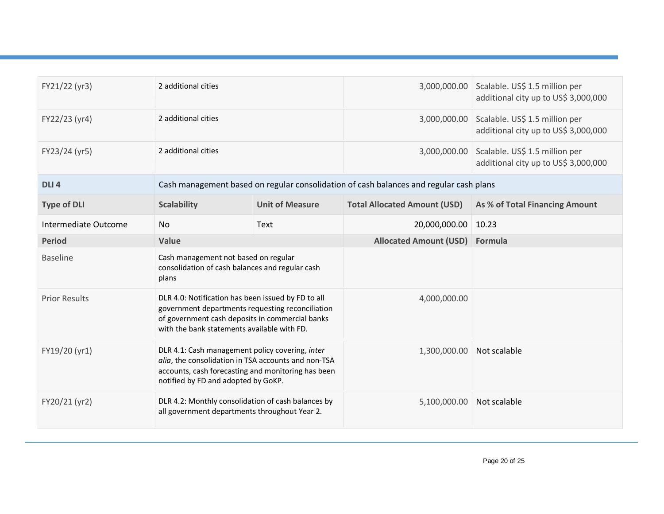| FY21/22 (yr3)        | 2 additional cities                                                                                                                                                                                      |                        |                                     | 3,000,000.00 Scalable. US\$ 1.5 million per<br>additional city up to US\$ 3,000,000 |
|----------------------|----------------------------------------------------------------------------------------------------------------------------------------------------------------------------------------------------------|------------------------|-------------------------------------|-------------------------------------------------------------------------------------|
| FY22/23 (yr4)        | 2 additional cities                                                                                                                                                                                      |                        | 3,000,000.00                        | Scalable. US\$ 1.5 million per<br>additional city up to US\$ 3,000,000              |
| FY23/24 (yr5)        | 2 additional cities                                                                                                                                                                                      |                        | 3,000,000.00                        | Scalable. US\$ 1.5 million per<br>additional city up to US\$ 3,000,000              |
| DLI <sub>4</sub>     | Cash management based on regular consolidation of cash balances and regular cash plans                                                                                                                   |                        |                                     |                                                                                     |
| <b>Type of DLI</b>   | <b>Scalability</b>                                                                                                                                                                                       | <b>Unit of Measure</b> | <b>Total Allocated Amount (USD)</b> | As % of Total Financing Amount                                                      |
| Intermediate Outcome | No                                                                                                                                                                                                       | Text                   | 20,000,000.00                       | 10.23                                                                               |
| <b>Period</b>        | Value                                                                                                                                                                                                    |                        | <b>Allocated Amount (USD)</b>       | Formula                                                                             |
| <b>Baseline</b>      | Cash management not based on regular<br>consolidation of cash balances and regular cash<br>plans                                                                                                         |                        |                                     |                                                                                     |
| <b>Prior Results</b> | DLR 4.0: Notification has been issued by FD to all<br>government departments requesting reconciliation<br>of government cash deposits in commercial banks<br>with the bank statements available with FD. |                        | 4,000,000.00                        |                                                                                     |
| FY19/20 (yr1)        | DLR 4.1: Cash management policy covering, inter<br>alia, the consolidation in TSA accounts and non-TSA<br>accounts, cash forecasting and monitoring has been<br>notified by FD and adopted by GoKP.      |                        | 1,300,000.00                        | Not scalable                                                                        |
| FY20/21 (yr2)        | DLR 4.2: Monthly consolidation of cash balances by<br>all government departments throughout Year 2.                                                                                                      |                        | 5,100,000.00                        | Not scalable                                                                        |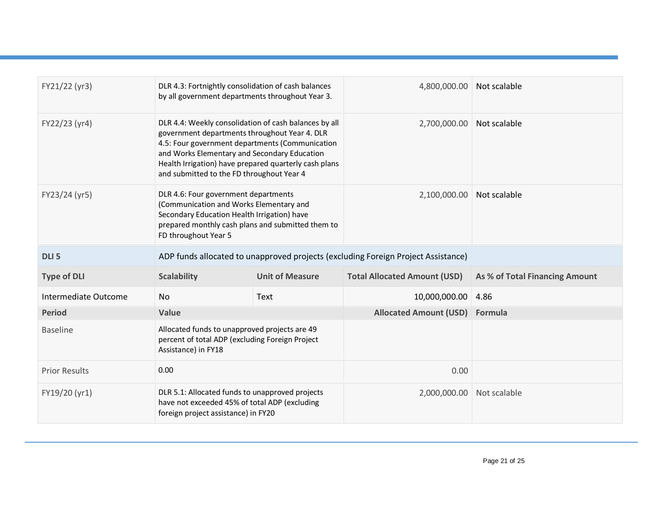| FY21/22 (yr3)        | DLR 4.3: Fortnightly consolidation of cash balances<br>by all government departments throughout Year 3.                                                                                                                                                                                                         |                                                                                                                                         | 4,800,000.00                        | Not scalable                   |
|----------------------|-----------------------------------------------------------------------------------------------------------------------------------------------------------------------------------------------------------------------------------------------------------------------------------------------------------------|-----------------------------------------------------------------------------------------------------------------------------------------|-------------------------------------|--------------------------------|
| FY22/23 (yr4)        | DLR 4.4: Weekly consolidation of cash balances by all<br>government departments throughout Year 4. DLR<br>4.5: Four government departments (Communication<br>and Works Elementary and Secondary Education<br>Health Irrigation) have prepared quarterly cash plans<br>and submitted to the FD throughout Year 4 |                                                                                                                                         | 2,700,000.00                        | Not scalable                   |
| FY23/24 (yr5)        | DLR 4.6: Four government departments<br>(Communication and Works Elementary and<br>Secondary Education Health Irrigation) have<br>prepared monthly cash plans and submitted them to<br>FD throughout Year 5                                                                                                     |                                                                                                                                         | 2,100,000.00                        | Not scalable                   |
| DLI <sub>5</sub>     | ADP funds allocated to unapproved projects (excluding Foreign Project Assistance)                                                                                                                                                                                                                               |                                                                                                                                         |                                     |                                |
| <b>Type of DLI</b>   | <b>Scalability</b>                                                                                                                                                                                                                                                                                              | <b>Unit of Measure</b>                                                                                                                  | <b>Total Allocated Amount (USD)</b> | As % of Total Financing Amount |
| Intermediate Outcome | No.                                                                                                                                                                                                                                                                                                             | Text                                                                                                                                    | 10,000,000.00                       | 4.86                           |
| <b>Period</b>        | Value                                                                                                                                                                                                                                                                                                           |                                                                                                                                         | <b>Allocated Amount (USD)</b>       | Formula                        |
| <b>Baseline</b>      | Allocated funds to unapproved projects are 49<br>percent of total ADP (excluding Foreign Project<br>Assistance) in FY18                                                                                                                                                                                         |                                                                                                                                         |                                     |                                |
| <b>Prior Results</b> | 0.00                                                                                                                                                                                                                                                                                                            |                                                                                                                                         | 0.00                                |                                |
| FY19/20 (yr1)        |                                                                                                                                                                                                                                                                                                                 | DLR 5.1: Allocated funds to unapproved projects<br>have not exceeded 45% of total ADP (excluding<br>foreign project assistance) in FY20 |                                     | Not scalable                   |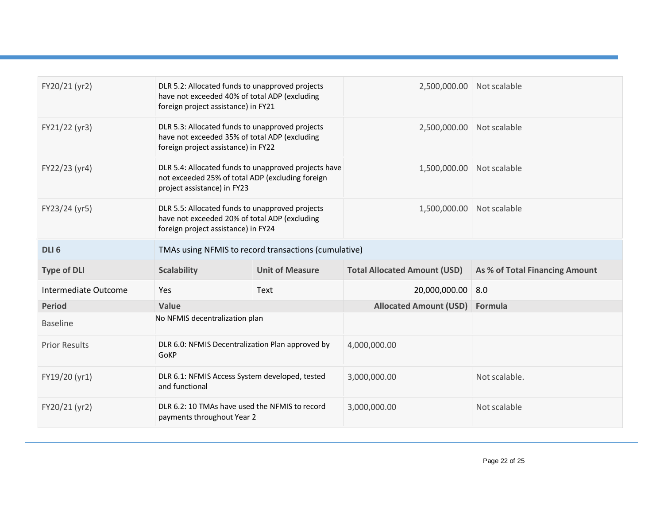| FY20/21 (yr2)        | DLR 5.2: Allocated funds to unapproved projects<br>have not exceeded 40% of total ADP (excluding<br>foreign project assistance) in FY21 |             | 2,500,000.00 Not scalable           |                                |
|----------------------|-----------------------------------------------------------------------------------------------------------------------------------------|-------------|-------------------------------------|--------------------------------|
| FY21/22 (yr3)        | DLR 5.3: Allocated funds to unapproved projects<br>have not exceeded 35% of total ADP (excluding<br>foreign project assistance) in FY22 |             | 2,500,000.00                        | Not scalable                   |
| FY22/23 (yr4)        | DLR 5.4: Allocated funds to unapproved projects have<br>not exceeded 25% of total ADP (excluding foreign<br>project assistance) in FY23 |             | 1,500,000.00                        | Not scalable                   |
| FY23/24 (yr5)        | DLR 5.5: Allocated funds to unapproved projects<br>have not exceeded 20% of total ADP (excluding<br>foreign project assistance) in FY24 |             | 1,500,000.00                        | Not scalable                   |
| DLI <sub>6</sub>     | TMAs using NFMIS to record transactions (cumulative)                                                                                    |             |                                     |                                |
|                      | <b>Unit of Measure</b><br><b>Scalability</b>                                                                                            |             |                                     |                                |
| <b>Type of DLI</b>   |                                                                                                                                         |             | <b>Total Allocated Amount (USD)</b> | As % of Total Financing Amount |
| Intermediate Outcome | Yes                                                                                                                                     | <b>Text</b> | 20,000,000.00                       | 8.0                            |
| <b>Period</b>        | Value                                                                                                                                   |             | <b>Allocated Amount (USD)</b>       | Formula                        |
| <b>Baseline</b>      | No NFMIS decentralization plan                                                                                                          |             |                                     |                                |
| <b>Prior Results</b> | DLR 6.0: NFMIS Decentralization Plan approved by<br>GoKP                                                                                |             | 4,000,000.00                        |                                |
| FY19/20 (yr1)        | DLR 6.1: NFMIS Access System developed, tested<br>and functional                                                                        |             | 3,000,000.00                        | Not scalable.                  |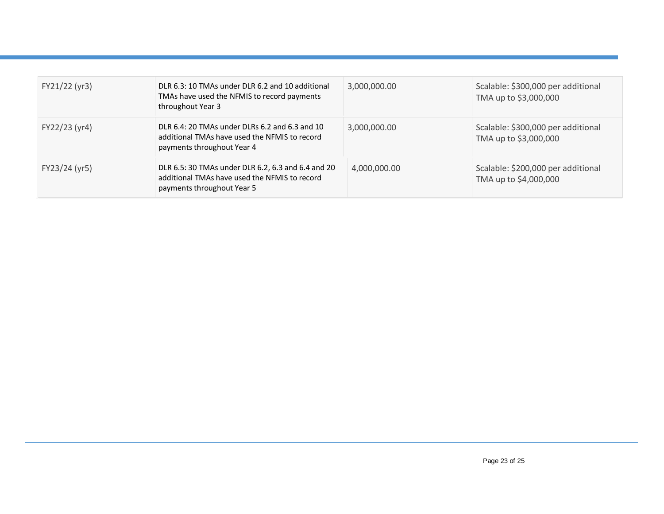| FY21/22 (yr3) | DLR 6.3: 10 TMAs under DLR 6.2 and 10 additional<br>TMAs have used the NFMIS to record payments<br>throughout Year 3              | 3,000,000.00 | Scalable: \$300,000 per additional<br>TMA up to \$3,000,000 |
|---------------|-----------------------------------------------------------------------------------------------------------------------------------|--------------|-------------------------------------------------------------|
| FY22/23 (yr4) | DLR 6.4: 20 TMAs under DLRs 6.2 and 6.3 and 10<br>additional TMAs have used the NFMIS to record<br>payments throughout Year 4     | 3,000,000.00 | Scalable: \$300,000 per additional<br>TMA up to \$3,000,000 |
| FY23/24 (yr5) | DLR 6.5: 30 TMAs under DLR 6.2, 6.3 and 6.4 and 20<br>additional TMAs have used the NFMIS to record<br>payments throughout Year 5 | 4,000,000.00 | Scalable: \$200,000 per additional<br>TMA up to \$4,000,000 |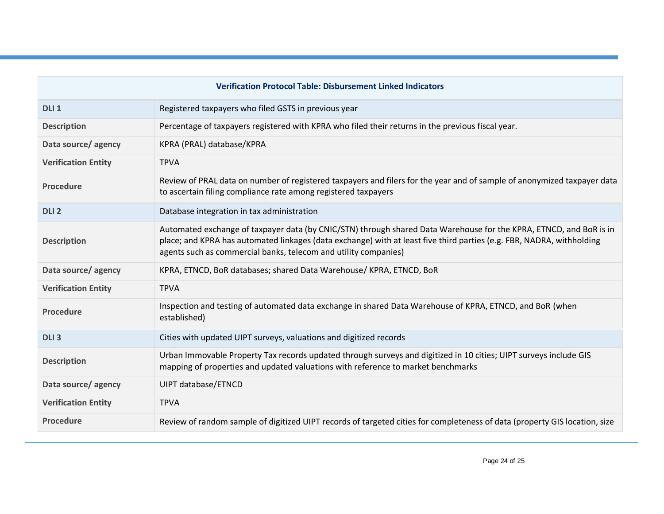| <b>Verification Protocol Table: Disbursement Linked Indicators</b> |                                                                                                                                                                                                                                                                                                                |  |
|--------------------------------------------------------------------|----------------------------------------------------------------------------------------------------------------------------------------------------------------------------------------------------------------------------------------------------------------------------------------------------------------|--|
| DLI <sub>1</sub>                                                   | Registered taxpayers who filed GSTS in previous year                                                                                                                                                                                                                                                           |  |
| <b>Description</b>                                                 | Percentage of taxpayers registered with KPRA who filed their returns in the previous fiscal year.                                                                                                                                                                                                              |  |
| Data source/ agency                                                | KPRA (PRAL) database/KPRA                                                                                                                                                                                                                                                                                      |  |
| <b>Verification Entity</b>                                         | <b>TPVA</b>                                                                                                                                                                                                                                                                                                    |  |
| <b>Procedure</b>                                                   | Review of PRAL data on number of registered taxpayers and filers for the year and of sample of anonymized taxpayer data<br>to ascertain filing compliance rate among registered taxpayers                                                                                                                      |  |
| DLI <sub>2</sub>                                                   | Database integration in tax administration                                                                                                                                                                                                                                                                     |  |
| <b>Description</b>                                                 | Automated exchange of taxpayer data (by CNIC/STN) through shared Data Warehouse for the KPRA, ETNCD, and BoR is in<br>place; and KPRA has automated linkages (data exchange) with at least five third parties (e.g. FBR, NADRA, withholding<br>agents such as commercial banks, telecom and utility companies) |  |
| Data source/agency                                                 | KPRA, ETNCD, BoR databases; shared Data Warehouse/KPRA, ETNCD, BoR                                                                                                                                                                                                                                             |  |
| <b>Verification Entity</b>                                         | <b>TPVA</b>                                                                                                                                                                                                                                                                                                    |  |
| <b>Procedure</b>                                                   | Inspection and testing of automated data exchange in shared Data Warehouse of KPRA, ETNCD, and BoR (when<br>established)                                                                                                                                                                                       |  |
| DLI <sub>3</sub>                                                   | Cities with updated UIPT surveys, valuations and digitized records                                                                                                                                                                                                                                             |  |
| <b>Description</b>                                                 | Urban Immovable Property Tax records updated through surveys and digitized in 10 cities; UIPT surveys include GIS<br>mapping of properties and updated valuations with reference to market benchmarks                                                                                                          |  |
| Data source/ agency                                                | UIPT database/ETNCD                                                                                                                                                                                                                                                                                            |  |
| <b>Verification Entity</b>                                         | <b>TPVA</b>                                                                                                                                                                                                                                                                                                    |  |
| <b>Procedure</b>                                                   | Review of random sample of digitized UIPT records of targeted cities for completeness of data (property GIS location, size                                                                                                                                                                                     |  |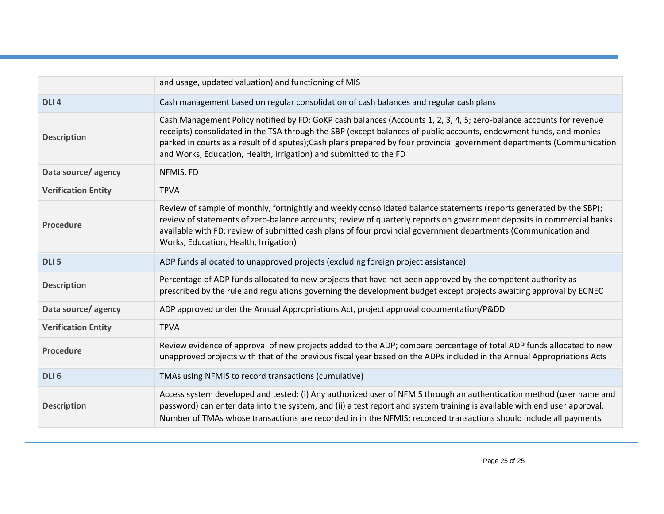|                            | and usage, updated valuation) and functioning of MIS                                                                                                                                                                                                                                                                                                                                                                                       |
|----------------------------|--------------------------------------------------------------------------------------------------------------------------------------------------------------------------------------------------------------------------------------------------------------------------------------------------------------------------------------------------------------------------------------------------------------------------------------------|
| DLI <sub>4</sub>           | Cash management based on regular consolidation of cash balances and regular cash plans                                                                                                                                                                                                                                                                                                                                                     |
| <b>Description</b>         | Cash Management Policy notified by FD; GoKP cash balances (Accounts 1, 2, 3, 4, 5; zero-balance accounts for revenue<br>receipts) consolidated in the TSA through the SBP (except balances of public accounts, endowment funds, and monies<br>parked in courts as a result of disputes); Cash plans prepared by four provincial government departments (Communication<br>and Works, Education, Health, Irrigation) and submitted to the FD |
| Data source/agency         | NFMIS, FD                                                                                                                                                                                                                                                                                                                                                                                                                                  |
| <b>Verification Entity</b> | <b>TPVA</b>                                                                                                                                                                                                                                                                                                                                                                                                                                |
| <b>Procedure</b>           | Review of sample of monthly, fortnightly and weekly consolidated balance statements (reports generated by the SBP);<br>review of statements of zero-balance accounts; review of quarterly reports on government deposits in commercial banks<br>available with FD; review of submitted cash plans of four provincial government departments (Communication and<br>Works, Education, Health, Irrigation)                                    |
| DLI <sub>5</sub>           | ADP funds allocated to unapproved projects (excluding foreign project assistance)                                                                                                                                                                                                                                                                                                                                                          |
| <b>Description</b>         | Percentage of ADP funds allocated to new projects that have not been approved by the competent authority as<br>prescribed by the rule and regulations governing the development budget except projects awaiting approval by ECNEC                                                                                                                                                                                                          |
| Data source/agency         | ADP approved under the Annual Appropriations Act, project approval documentation/Pⅅ                                                                                                                                                                                                                                                                                                                                                        |
| <b>Verification Entity</b> | <b>TPVA</b>                                                                                                                                                                                                                                                                                                                                                                                                                                |
| <b>Procedure</b>           | Review evidence of approval of new projects added to the ADP; compare percentage of total ADP funds allocated to new<br>unapproved projects with that of the previous fiscal year based on the ADPs included in the Annual Appropriations Acts                                                                                                                                                                                             |
| DLI <sub>6</sub>           | TMAs using NFMIS to record transactions (cumulative)                                                                                                                                                                                                                                                                                                                                                                                       |
| <b>Description</b>         | Access system developed and tested: (i) Any authorized user of NFMIS through an authentication method (user name and<br>password) can enter data into the system, and (ii) a test report and system training is available with end user approval.<br>Number of TMAs whose transactions are recorded in in the NFMIS; recorded transactions should include all payments                                                                     |